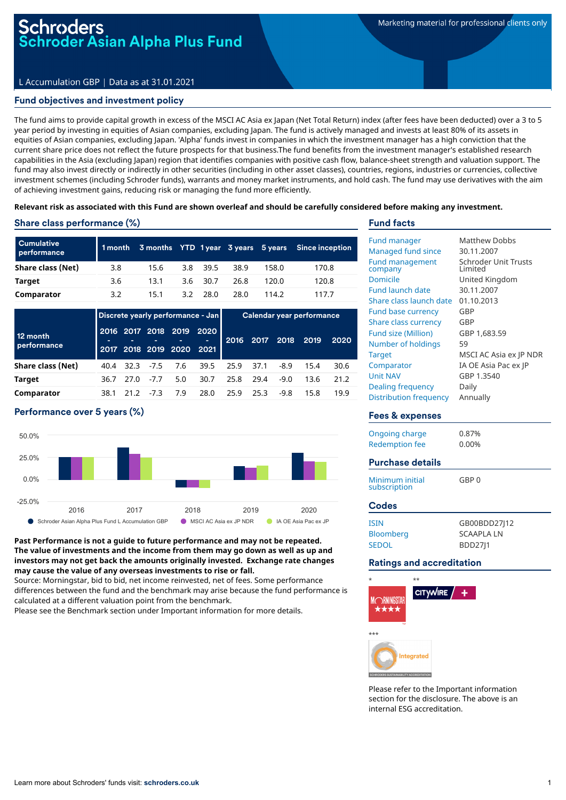# L Accumulation GBP | Data as at 31.01.2021

# Fund objectives and investment policy

The fund aims to provide capital growth in excess of the MSCI AC Asia ex Japan (Net Total Return) index (after fees have been deducted) over a 3 to 5 year period by investing in equities of Asian companies, excluding Japan. The fund is actively managed and invests at least 80% of its assets in equities of Asian companies, excluding Japan. 'Alpha' funds invest in companies in which the investment manager has a high conviction that the current share price does not reflect the future prospects for that business.The fund benefits from the investment manager's established research capabilities in the Asia (excluding Japan) region that identifies companies with positive cash flow, balance-sheet strength and valuation support. The fund may also invest directly or indirectly in other securities (including in other asset classes), countries, regions, industries or currencies, collective investment schemes (including Schroder funds), warrants and money market instruments, and hold cash. The fund may use derivatives with the aim of achieving investment gains, reducing risk or managing the fund more efficiently.

#### Relevant risk as associated with this Fund are shown overleaf and should be carefully considered before making any investment.

### Share class performance (%)

| <b>Cumulative</b><br>performance |     |      |          |      |       | 1 month 3 months YTD 1 year 3 years 5 years Since inception |
|----------------------------------|-----|------|----------|------|-------|-------------------------------------------------------------|
| Share class (Net)                | 3.8 | 15.6 | 3.8 39.5 | 38.9 | 158.0 | 170.8                                                       |
| Target                           | 3.6 | 13.1 | 3.6 30.7 | 26.8 | 120.0 | 120.8                                                       |
| Comparator                       | 3.2 | 15.1 | 3.2 28.0 | 28.0 | 114.2 | 117.7                                                       |

|                         |      | Discrete yearly performance - Jan |        |                                                      |      | Calendar year performance |                |        |      |      |
|-------------------------|------|-----------------------------------|--------|------------------------------------------------------|------|---------------------------|----------------|--------|------|------|
| 12 month<br>performance |      |                                   |        | 2016 2017 2018 2019 2020<br>2017 2018 2019 2020 2021 |      |                           | 2016 2017 2018 |        | 2019 | 2020 |
| Share class (Net)       | 40.4 | 32.3                              | $-7.5$ | 7.6                                                  | 39.5 | 25.9                      | 37.1           | -8.9   | 15.4 | 30.6 |
| <b>Target</b>           | 36.7 | 27.0                              | $-7.7$ | 5.0                                                  | 30.7 | 25.8                      | 29.4           | $-9.0$ | 13.6 | 21.2 |
| Comparator              | 38.1 |                                   | $-7.3$ | 7.9                                                  | 28.0 | 25.9                      | 25.3           | -9.8   | 15.8 | 19.9 |

# Performance over 5 years (%)



**Past Performance is not a guide to future performance and may not be repeated. The value of investments and the income from them may go down as well as up and investors may not get back the amounts originally invested. Exchange rate changes may cause the value of any overseas investments to rise or fall.**

Source: Morningstar, bid to bid, net income reinvested, net of fees. Some performance differences between the fund and the benchmark may arise because the fund performance is calculated at a different valuation point from the benchmark.

Please see the Benchmark section under Important information for more details.

### Fund facts

| <b>Fund manager</b><br><b>Managed fund since</b><br><b>Fund management</b><br>company<br>Domicile<br><b>Fund launch date</b><br>Share class launch date<br><b>Fund base currency</b><br>Share class currency<br>Fund size (Million)<br>Number of holdings<br><b>Target</b><br>Comparator<br><b>Unit NAV</b><br><b>Dealing frequency</b><br><b>Distribution frequency</b> | Matthew Dobbs<br>30.11.2007<br><b>Schroder Unit Trusts</b><br>Limited<br>United Kingdom<br>30.11.2007<br>01.10.2013<br>GBP<br>GBP<br>GBP 1,683.59<br>59<br>MSCI AC Asia ex JP NDR<br>IA OE Asia Pac ex JP<br>GBP 1.3540<br>Daily<br>Annually |
|--------------------------------------------------------------------------------------------------------------------------------------------------------------------------------------------------------------------------------------------------------------------------------------------------------------------------------------------------------------------------|----------------------------------------------------------------------------------------------------------------------------------------------------------------------------------------------------------------------------------------------|
| <b>Fees &amp; expenses</b>                                                                                                                                                                                                                                                                                                                                               |                                                                                                                                                                                                                                              |
| Ongoing charge<br><b>Redemption fee</b><br><b>Purchase details</b>                                                                                                                                                                                                                                                                                                       | 0.87%<br>0.00%                                                                                                                                                                                                                               |
| Minimum initial<br>subscription                                                                                                                                                                                                                                                                                                                                          | GBP 0                                                                                                                                                                                                                                        |
| <b>Codes</b>                                                                                                                                                                                                                                                                                                                                                             |                                                                                                                                                                                                                                              |
| <b>ISIN</b><br>Bloomberg<br><b>SEDOL</b>                                                                                                                                                                                                                                                                                                                                 | GB00BDD27J12<br><b>SCAAPLA LN</b><br><b>BDD2711</b>                                                                                                                                                                                          |
| <b>Ratings and accreditation</b>                                                                                                                                                                                                                                                                                                                                         |                                                                                                                                                                                                                                              |
| $\star$<br>$***$                                                                                                                                                                                                                                                                                                                                                         |                                                                                                                                                                                                                                              |





Please refer to the Important information section for the disclosure. The above is an internal ESG accreditation.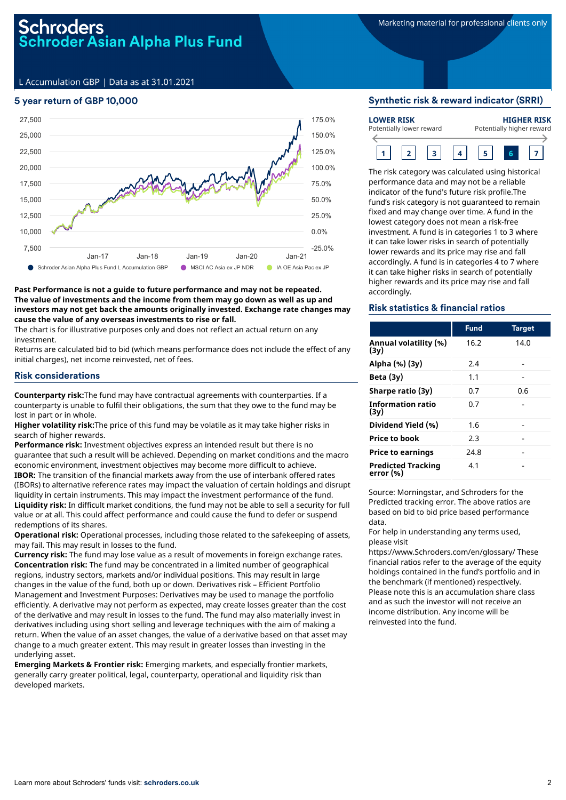# chroders Schroder Asian Alpha Plus Fund

L Accumulation GBP | Data as at 31.01.2021

# 5 year return of GBP 10,000



#### **Past Performance is not a guide to future performance and may not be repeated. The value of investments and the income from them may go down as well as up and investors may not get back the amounts originally invested. Exchange rate changes may cause the value of any overseas investments to rise or fall.**

The chart is for illustrative purposes only and does not reflect an actual return on any investment.

Returns are calculated bid to bid (which means performance does not include the effect of any initial charges), net income reinvested, net of fees.

### Risk considerations

**Counterparty risk:**The fund may have contractual agreements with counterparties. If a counterparty is unable to fulfil their obligations, the sum that they owe to the fund may be lost in part or in whole.

**Higher volatility risk:**The price of this fund may be volatile as it may take higher risks in search of higher rewards.

**Performance risk:** Investment objectives express an intended result but there is no guarantee that such a result will be achieved. Depending on market conditions and the macro economic environment, investment objectives may become more difficult to achieve. **IBOR:** The transition of the financial markets away from the use of interbank offered rates (IBORs) to alternative reference rates may impact the valuation of certain holdings and disrupt liquidity in certain instruments. This may impact the investment performance of the fund. **Liquidity risk:** In difficult market conditions, the fund may not be able to sell a security for full value or at all. This could affect performance and could cause the fund to defer or suspend redemptions of its shares.

**Operational risk:** Operational processes, including those related to the safekeeping of assets, may fail. This may result in losses to the fund.

**Currency risk:** The fund may lose value as a result of movements in foreign exchange rates. **Concentration risk:** The fund may be concentrated in a limited number of geographical regions, industry sectors, markets and/or individual positions. This may result in large changes in the value of the fund, both up or down. Derivatives risk – Efficient Portfolio Management and Investment Purposes: Derivatives may be used to manage the portfolio efficiently. A derivative may not perform as expected, may create losses greater than the cost of the derivative and may result in losses to the fund. The fund may also materially invest in derivatives including using short selling and leverage techniques with the aim of making a return. When the value of an asset changes, the value of a derivative based on that asset may change to a much greater extent. This may result in greater losses than investing in the underlying asset.

**Emerging Markets & Frontier risk:** Emerging markets, and especially frontier markets, generally carry greater political, legal, counterparty, operational and liquidity risk than developed markets.

#### Synthetic risk & reward indicator (SRRI)

| <b>LOWER RISK</b><br>Potentially lower reward |  | <b>HIGHER RISK</b><br>Potentially higher reward |  |  |  |  |
|-----------------------------------------------|--|-------------------------------------------------|--|--|--|--|
|                                               |  |                                                 |  |  |  |  |

The risk category was calculated using historical performance data and may not be a reliable indicator of the fund's future risk profile.The fund's risk category is not guaranteed to remain fixed and may change over time. A fund in the lowest category does not mean a risk-free investment. A fund is in categories 1 to 3 where it can take lower risks in search of potentially lower rewards and its price may rise and fall accordingly. A fund is in categories 4 to 7 where it can take higher risks in search of potentially higher rewards and its price may rise and fall accordingly.

#### Risk statistics & financial ratios

|                                        | <b>Fund</b> | <b>Target</b> |
|----------------------------------------|-------------|---------------|
| Annual volatility (%)<br>(3v)          | 16.2        | 14.0          |
| Alpha (%) (3y)                         | 2.4         |               |
| Beta $(3y)$                            | 1.1         |               |
| Sharpe ratio (3y)                      | 0.7         | 0.6           |
| Information ratio<br>(3v)              | 0.7         |               |
| Dividend Yield (%)                     | 1.6         |               |
| <b>Price to book</b>                   | 2.3         |               |
| <b>Price to earnings</b>               | 24.8        |               |
| <b>Predicted Tracking</b><br>error (%) | 4.1         |               |

Source: Morningstar, and Schroders for the Predicted tracking error. The above ratios are based on bid to bid price based performance data.

For help in understanding any terms used, please visit

https://www.Schroders.com/en/glossary/ These financial ratios refer to the average of the equity holdings contained in the fund's portfolio and in the benchmark (if mentioned) respectively. Please note this is an accumulation share class and as such the investor will not receive an income distribution. Any income will be reinvested into the fund.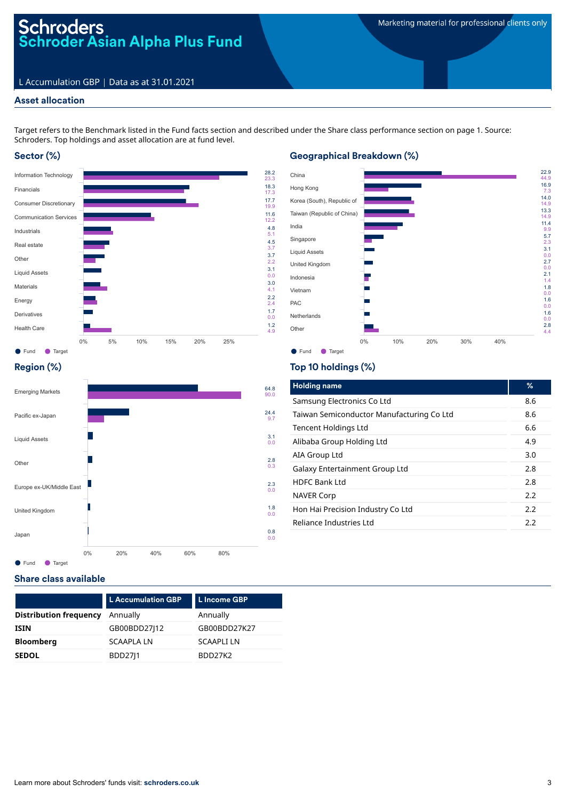# Schroders<br>Schroder Asian Alpha Plus Fund

# L Accumulation GBP | Data as at 31.01.2021

# Asset allocation

Target refers to the Benchmark listed in the Fund facts section and described under the Share class performance section on page 1. Source: Schroders. Top holdings and asset allocation are at fund level.

# Sector (%)



# Geographical Breakdown (%)



# Region (%)



# Top 10 holdings (%)

| <b>Holding name</b>                       | %   |
|-------------------------------------------|-----|
| Samsung Electronics Co Ltd                | 8.6 |
| Taiwan Semiconductor Manufacturing Co Ltd | 8.6 |
| <b>Tencent Holdings Ltd</b>               | 6.6 |
| Alibaba Group Holding Ltd                 | 4.9 |
| AIA Group Ltd                             | 3.0 |
| Galaxy Entertainment Group Ltd            | 2.8 |
| <b>HDFC Bank Ltd</b>                      | 2.8 |
| <b>NAVER Corp</b>                         | 2.2 |
| Hon Hai Precision Industry Co Ltd         | 2.2 |
| Reliance Industries Ltd                   | 2.2 |
|                                           |     |

# Share class available

|                               | <b>L</b> Accumulation GBP | L Income GBP      |
|-------------------------------|---------------------------|-------------------|
| <b>Distribution frequency</b> | Annually                  | Annually          |
| <b>ISIN</b>                   | GB00BDD27 12              | GB00BDD27K27      |
| <b>Bloomberg</b>              | <b>SCAAPLA LN</b>         | <b>SCAAPLI LN</b> |
| <b>SEDOL</b>                  | <b>BDD2711</b>            | BDD27K2           |